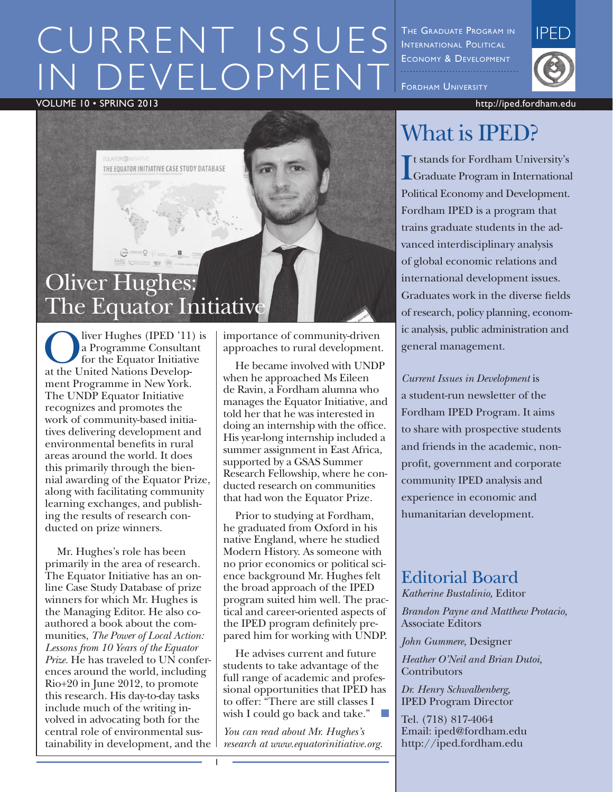# CURRENT ISSUES DEVELOPMENT

Volume 10 • SPRING 2013 http://iped.fordham.edu



liver Hughes (IPED '11) is a Programme Consultant for the Equator Initiative at the United Nations Development Programme in New York. The UNDP Equator Initiative recognizes and promotes the work of community-based initiatives delivering development and environmental benefits in rural areas around the world. It does this primarily through the biennial awarding of the Equator Prize, along with facilitating community learning exchanges, and publishing the results of research conducted on prize winners.

Mr. Hughes's role has been primarily in the area of research. The Equator Initiative has an online Case Study Database of prize winners for which Mr. Hughes is the Managing Editor. He also coauthored a book about the communities, *The Power of Local Action: Lessons from 10 Years of the Equator Prize.* He has traveled to UN conferences around the world, including Rio+20 in June 2012, to promote this research. His day-to-day tasks include much of the writing involved in advocating both for the central role of environmental sustainability in development, and the

importance of community-driven approaches to rural development.

He became involved with UNDP when he approached Ms Eileen de Ravin, a Fordham alumna who manages the Equator Initiative, and told her that he was interested in doing an internship with the office. His year-long internship included a summer assignment in East Africa, supported by a GSAS Summer Research Fellowship, where he conducted research on communities that had won the Equator Prize.

Prior to studying at Fordham, he graduated from Oxford in his native England, where he studied Modern History. As someone with no prior economics or political science background Mr. Hughes felt the broad approach of the IPED program suited him well. The practical and career-oriented aspects of the IPED program definitely prepared him for working with UNDP.

He advises current and future students to take advantage of the full range of academic and professional opportunities that IPED has to offer: "There are still classes I wish I could go back and take."

*You can read about Mr. Hughes's research at www.equatorinitiative.org.* 

1

The Graduate Program in INTERNATIONAL POLITICAL Economy & Development FORDHAM UNIVERSITY



## What is IPED?

I Graduate Program in International t stands for Fordham University's Political Economy and Development. Fordham IPED is a program that trains graduate students in the advanced interdisciplinary analysis of global economic relations and international development issues. Graduates work in the diverse fields of research, policy planning, economic analysis, public administration and general management.

*Current Issues in Development* is a student-run newsletter of the Fordham IPED Program. It aims to share with prospective students and friends in the academic, nonprofit, government and corporate community IPED analysis and experience in economic and humanitarian development.

#### Editorial Board

*Katherine Bustalinio,* Editor

*Brandon Payne and Matthew Protacio,*  Associate Editors

*John Gummere,* Designer

*Heather O'Neil and Brian Dutoi,* **Contributors** 

*Dr. Henry Schwalbenberg,* IPED Program Director

Tel. (718) 817-4064 Email: iped@fordham.edu http://iped.fordham.edu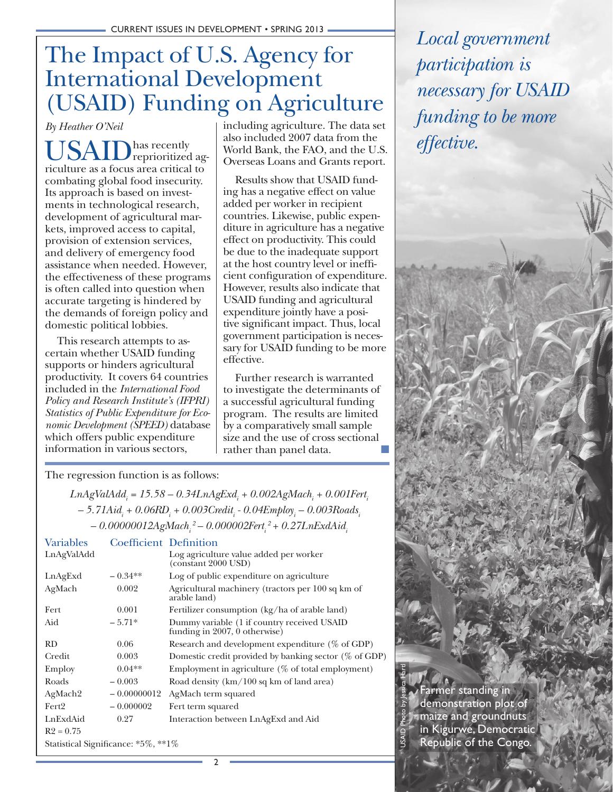## The Impact of U.S. Agency for International Development (USAID) Funding on Agriculture

*By Heather O'Neil*

has recently reprioritized agriculture as a focus area critical to combating global food insecurity. Its approach is based on investments in technological research, development of agricultural markets, improved access to capital, provision of extension services, and delivery of emergency food assistance when needed. However, the effectiveness of these programs is often called into question when accurate targeting is hindered by the demands of foreign policy and domestic political lobbies.

This research attempts to ascertain whether USAID funding supports or hinders agricultural productivity. It covers 64 countries included in the *International Food Policy and Research Institute's (IFPRI) Statistics of Public Expenditure for Economic Development (SPEED)* database which offers public expenditure information in various sectors,

including agriculture. The data set also included 2007 data from the World Bank, the FAO, and the U.S. Overseas Loans and Grants report.

Results show that USAID funding has a negative effect on value added per worker in recipient countries. Likewise, public expenditure in agriculture has a negative effect on productivity. This could be due to the inadequate support at the host country level or inefficient configuration of expenditure. However, results also indicate that USAID funding and agricultural expenditure jointly have a positive significant impact. Thus, local government participation is necessary for USAID funding to be more effective.

Further research is warranted to investigate the determinants of a successful agricultural funding program. The results are limited by a comparatively small sample size and the use of cross sectional rather than panel data.

The regression function is as follows:

*LnAgValAddi = 15.58 – 0.34LnAgExdi + 0.002AgMachi + 0.001Ferti – 5.71Aidi + 0.06RDi + 0.003Crediti - 0.04Employi – 0.003Roadsi – 0.00000012AgMachi 2 – 0.000002Ferti 2 + 0.27LnExdAidi*

| <b>Variables</b>                    | <b>Coefficient Definition</b> |                                                                              |  |  |
|-------------------------------------|-------------------------------|------------------------------------------------------------------------------|--|--|
| LnAgValAdd                          |                               | Log agriculture value added per worker<br>$\frac{1}{2000}$ USD)              |  |  |
| LnAgExd                             | $-0.34**$                     | Log of public expenditure on agriculture                                     |  |  |
| AgMach                              | 0.002                         | Agricultural machinery (tractors per 100 sq km of<br>arable land)            |  |  |
| Fert                                | 0.001                         | Fertilizer consumption (kg/ha of arable land)                                |  |  |
| Aid                                 | $-5.71*$                      | Dummy variable (1 if country received USAID<br>funding in 2007, 0 otherwise) |  |  |
| RD                                  | 0.06                          | Research and development expenditure $(\%$ of GDP)                           |  |  |
| Credit                              | 0.003                         | Domestic credit provided by banking sector $(\%$ of GDP)                     |  |  |
| Employ                              | $0.04**$                      | Employment in agriculture (% of total employment)                            |  |  |
| Roads                               | $-0.003$                      | Road density $(km/100 \text{ sq km of land area})$                           |  |  |
| AgMach <sub>2</sub>                 | $-0.00000012$                 | AgMach term squared                                                          |  |  |
| Fert <sub>2</sub>                   | $-0.000002$                   | Fert term squared                                                            |  |  |
| LnExdAid                            | 0.27                          | Interaction between LnAgExd and Aid                                          |  |  |
| $R2 = 0.75$                         |                               |                                                                              |  |  |
| Statistical Significance: *5%, **1% |                               |                                                                              |  |  |
|                                     |                               |                                                                              |  |  |

*Local government participation is necessary for USAID funding to be more effective.*

Farmer standing in demonstration plot of maize and groundnuts in Kigurwe, Democratic Republic of the Congo.

USAID Photo by Jessica Hartl

 $\mathfrak{p}$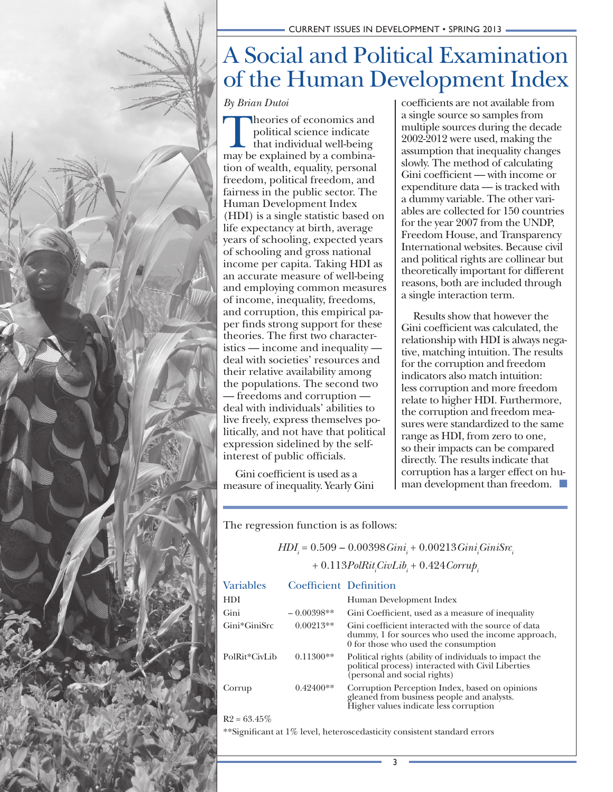## A Social and Political Examination of the Human Development Index

*By Brian Dutoi*

Theories of economics and political science indicate that individual well-being may be explained by a combination of wealth, equality, personal freedom, political freedom, and fairness in the public sector. The Human Development Index (HDI) is a single statistic based on life expectancy at birth, average years of schooling, expected years of schooling and gross national income per capita. Taking HDI as an accurate measure of well-being and employing common measures of income, inequality, freedoms, and corruption, this empirical paper finds strong support for these theories. The first two characteristics — income and inequality deal with societies' resources and their relative availability among the populations. The second two — freedoms and corruption deal with individuals' abilities to live freely, express themselves politically, and not have that political expression sidelined by the selfinterest of public officials.

Gini coefficient is used as a measure of inequality. Yearly Gini coefficients are not available from a single source so samples from multiple sources during the decade 2002-2012 were used, making the assumption that inequality changes slowly. The method of calculating Gini coefficient — with income or expenditure data — is tracked with a dummy variable. The other variables are collected for 150 countries for the year 2007 from the UNDP, Freedom House, and Transparency International websites. Because civil and political rights are collinear but theoretically important for different reasons, both are included through a single interaction term.

Results show that however the Gini coefficient was calculated, the relationship with HDI is always negative, matching intuition. The results for the corruption and freedom indicators also match intuition: less corruption and more freedom relate to higher HDI. Furthermore, the corruption and freedom measures were standardized to the same range as HDI, from zero to one, so their impacts can be compared directly. The results indicate that corruption has a larger effect on human development than freedom.  $\blacksquare$ 

The regression function is as follows:

| $H\!DI_{i} = 0.509 - 0.00398 G\!ini_{i} + 0.00213 G\!ini_{i} G\!ini_{i} S\!rcorner$ |  |
|-------------------------------------------------------------------------------------|--|
| $+ 0.113 PolRit_{i}CivLib_{i} + 0.424 Corrup_{i}$                                   |  |

| <b>Variables</b> | <b>Coefficient Definition</b> |                                                                                                                                                   |
|------------------|-------------------------------|---------------------------------------------------------------------------------------------------------------------------------------------------|
| <b>HDI</b>       |                               | Human Development Index                                                                                                                           |
| Gini             | $-0.00398**$                  | Gini Coefficient, used as a measure of inequality                                                                                                 |
| Gini*GiniSrc     | $0.00213**$                   | Gini coefficient interacted with the source of data<br>dummy, 1 for sources who used the income approach,<br>0 for those who used the consumption |
| PolRit*CivLib    | $0.11300**$                   | Political rights (ability of individuals to impact the<br>political process) interacted with Civil Liberties<br>(personal and social rights)      |
| Corrup           | $0.42400**$                   | Corruption Perception Index, based on opinions<br>gleaned from business people and analysts.<br>Higher values indicate less corruption            |
|                  |                               |                                                                                                                                                   |

 $R2 = 63.45\%$ 

\*\*Significant at 1% level, heteroscedasticity consistent standard errors